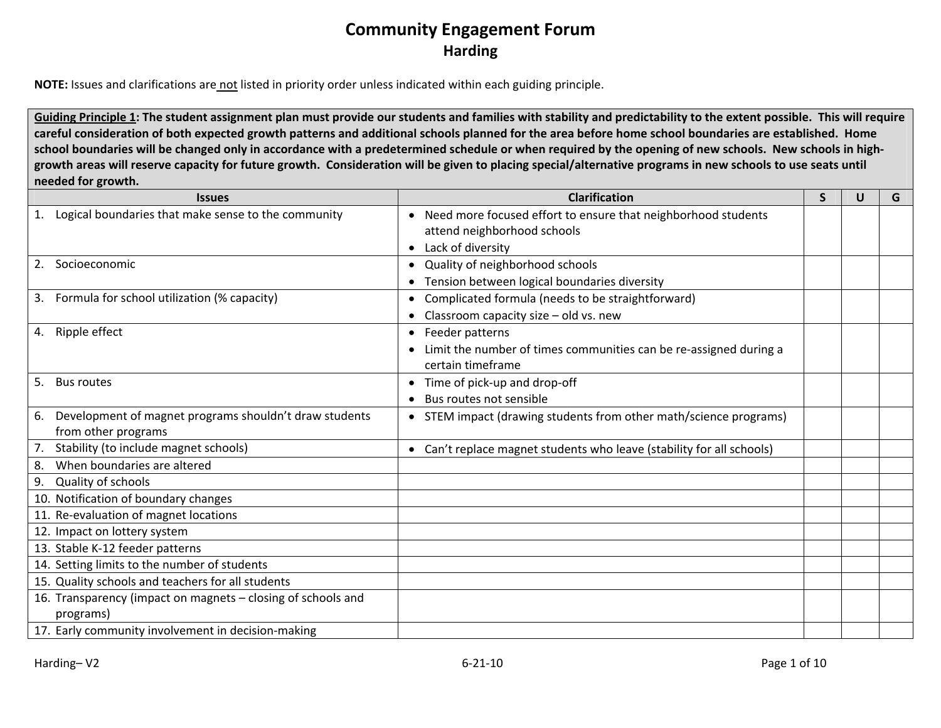**NOTE:** Issues and clarifications are not listed in priority order unless indicated within each guiding principle.

Guiding Principle 1: The student assignment plan must provide our students and families with stability and predictability to the extent possible. This will require careful consideration of both expected growth patterns and additional schools planned for the area before home school boundaries are established. Home school boundaries will be changed only in accordance with a predetermined schedule or when required by the opening of new schools. New schools in highgrowth areas will reserve capacity for future growth. Consideration will be given to placing special/alternative programs in new schools to use seats until **needed for growth.**

| <b>Issues</b>                                                | <b>Clarification</b>                                                       | S | U | G |
|--------------------------------------------------------------|----------------------------------------------------------------------------|---|---|---|
| Logical boundaries that make sense to the community          | Need more focused effort to ensure that neighborhood students<br>$\bullet$ |   |   |   |
|                                                              | attend neighborhood schools                                                |   |   |   |
|                                                              | Lack of diversity<br>$\bullet$                                             |   |   |   |
| Socioeconomic<br>2.                                          | Quality of neighborhood schools                                            |   |   |   |
|                                                              | Tension between logical boundaries diversity                               |   |   |   |
| Formula for school utilization (% capacity)<br>3.            | Complicated formula (needs to be straightforward)<br>$\bullet$             |   |   |   |
|                                                              | Classroom capacity size - old vs. new                                      |   |   |   |
| Ripple effect<br>4.                                          | Feeder patterns<br>$\bullet$                                               |   |   |   |
|                                                              | Limit the number of times communities can be re-assigned during a          |   |   |   |
|                                                              | certain timeframe                                                          |   |   |   |
| 5.<br><b>Bus routes</b>                                      | Time of pick-up and drop-off<br>$\bullet$                                  |   |   |   |
|                                                              | Bus routes not sensible                                                    |   |   |   |
| Development of magnet programs shouldn't draw students<br>6. | • STEM impact (drawing students from other math/science programs)          |   |   |   |
| from other programs                                          |                                                                            |   |   |   |
| Stability (to include magnet schools)<br>7.                  | • Can't replace magnet students who leave (stability for all schools)      |   |   |   |
| When boundaries are altered<br>8.                            |                                                                            |   |   |   |
| Quality of schools<br>9.                                     |                                                                            |   |   |   |
| 10. Notification of boundary changes                         |                                                                            |   |   |   |
| 11. Re-evaluation of magnet locations                        |                                                                            |   |   |   |
| 12. Impact on lottery system                                 |                                                                            |   |   |   |
| 13. Stable K-12 feeder patterns                              |                                                                            |   |   |   |
| 14. Setting limits to the number of students                 |                                                                            |   |   |   |
| 15. Quality schools and teachers for all students            |                                                                            |   |   |   |
| 16. Transparency (impact on magnets – closing of schools and |                                                                            |   |   |   |
| programs)                                                    |                                                                            |   |   |   |
| 17. Early community involvement in decision-making           |                                                                            |   |   |   |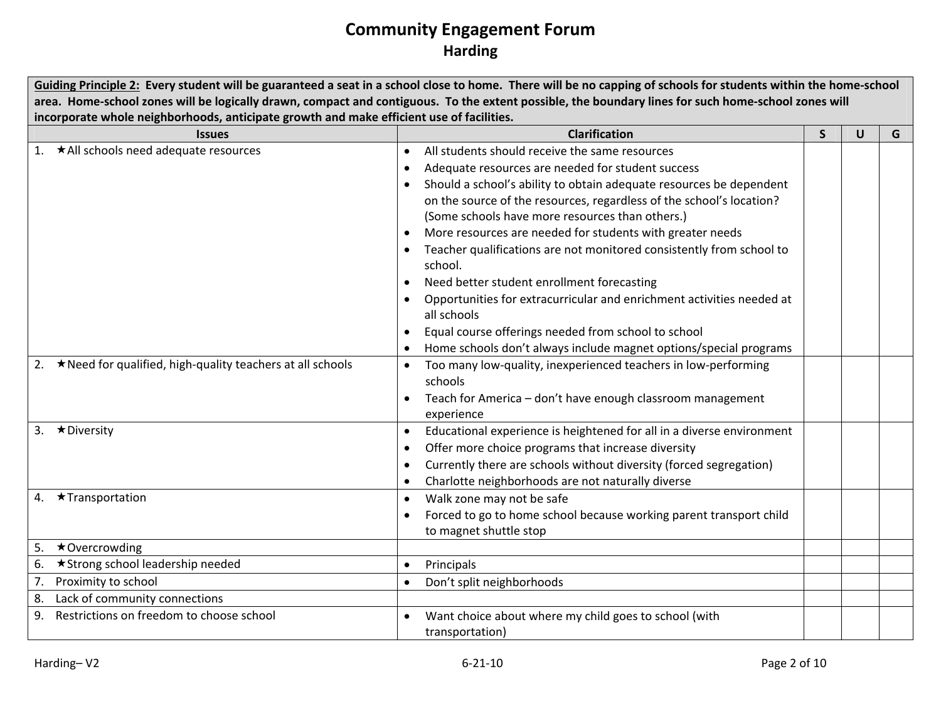|                                                                                          | Guiding Principle 2: Every student will be guaranteed a seat in a school close to home. There will be no capping of schools for students within the home-school |   |              |   |  |
|------------------------------------------------------------------------------------------|-----------------------------------------------------------------------------------------------------------------------------------------------------------------|---|--------------|---|--|
|                                                                                          | area. Home-school zones will be logically drawn, compact and contiguous. To the extent possible, the boundary lines for such home-school zones will             |   |              |   |  |
| incorporate whole neighborhoods, anticipate growth and make efficient use of facilities. |                                                                                                                                                                 |   |              |   |  |
| <b>Issues</b>                                                                            | <b>Clarification</b>                                                                                                                                            | S | $\mathsf{U}$ | G |  |
| 1. ★All schools need adequate resources                                                  | All students should receive the same resources<br>$\bullet$                                                                                                     |   |              |   |  |
|                                                                                          | Adequate resources are needed for student success                                                                                                               |   |              |   |  |
|                                                                                          | Should a school's ability to obtain adequate resources be dependent                                                                                             |   |              |   |  |
|                                                                                          | on the source of the resources, regardless of the school's location?                                                                                            |   |              |   |  |
|                                                                                          | (Some schools have more resources than others.)                                                                                                                 |   |              |   |  |
|                                                                                          | More resources are needed for students with greater needs                                                                                                       |   |              |   |  |
|                                                                                          | Teacher qualifications are not monitored consistently from school to<br>school.                                                                                 |   |              |   |  |
|                                                                                          | Need better student enrollment forecasting                                                                                                                      |   |              |   |  |
|                                                                                          | Opportunities for extracurricular and enrichment activities needed at                                                                                           |   |              |   |  |
|                                                                                          | all schools                                                                                                                                                     |   |              |   |  |
|                                                                                          | Equal course offerings needed from school to school                                                                                                             |   |              |   |  |
|                                                                                          | Home schools don't always include magnet options/special programs                                                                                               |   |              |   |  |
| 2. ★ Need for qualified, high-quality teachers at all schools                            | Too many low-quality, inexperienced teachers in low-performing<br>$\bullet$                                                                                     |   |              |   |  |
|                                                                                          | schools                                                                                                                                                         |   |              |   |  |
|                                                                                          | Teach for America - don't have enough classroom management                                                                                                      |   |              |   |  |
|                                                                                          | experience                                                                                                                                                      |   |              |   |  |
| 3. ★Diversity                                                                            | Educational experience is heightened for all in a diverse environment                                                                                           |   |              |   |  |
|                                                                                          | Offer more choice programs that increase diversity                                                                                                              |   |              |   |  |
|                                                                                          | Currently there are schools without diversity (forced segregation)                                                                                              |   |              |   |  |
|                                                                                          | Charlotte neighborhoods are not naturally diverse                                                                                                               |   |              |   |  |
| 4. ★Transportation                                                                       | Walk zone may not be safe                                                                                                                                       |   |              |   |  |
|                                                                                          | Forced to go to home school because working parent transport child                                                                                              |   |              |   |  |
|                                                                                          | to magnet shuttle stop                                                                                                                                          |   |              |   |  |
| 5.<br>$\star$ Overcrowding                                                               |                                                                                                                                                                 |   |              |   |  |
| 6. ★ Strong school leadership needed                                                     | Principals                                                                                                                                                      |   |              |   |  |
| Proximity to school<br>7.                                                                | Don't split neighborhoods                                                                                                                                       |   |              |   |  |
| 8.<br>Lack of community connections                                                      |                                                                                                                                                                 |   |              |   |  |
| 9 <sub>1</sub><br>Restrictions on freedom to choose school                               | Want choice about where my child goes to school (with                                                                                                           |   |              |   |  |
|                                                                                          | transportation)                                                                                                                                                 |   |              |   |  |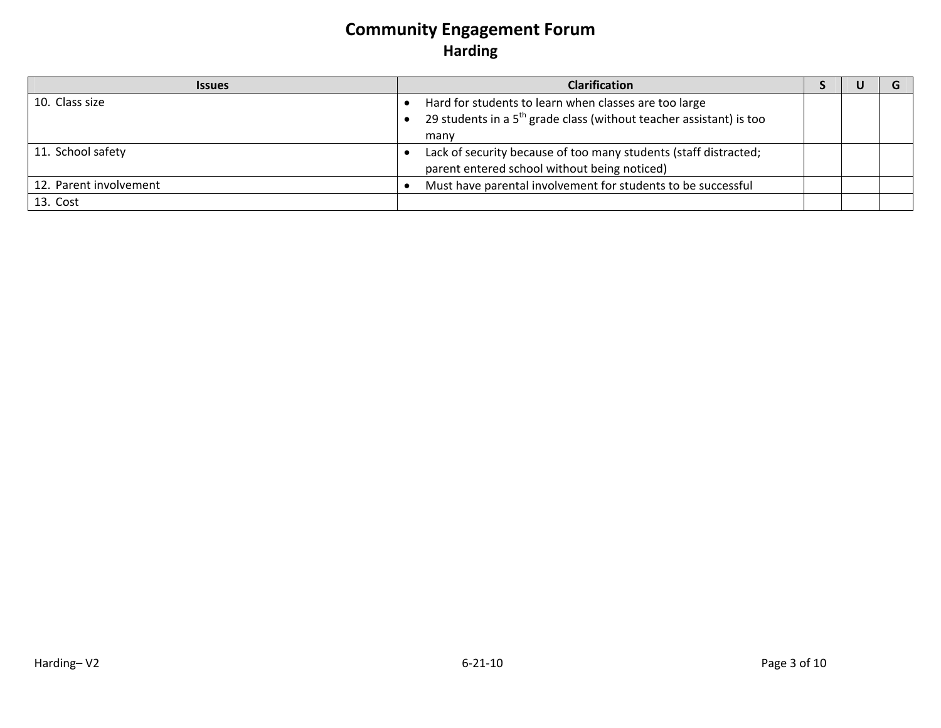| <b>Issues</b>          | <b>Clarification</b>                                                                                                           |  |  |
|------------------------|--------------------------------------------------------------------------------------------------------------------------------|--|--|
| 10. Class size         | Hard for students to learn when classes are too large<br>29 students in a $5th$ grade class (without teacher assistant) is too |  |  |
|                        | many                                                                                                                           |  |  |
| 11. School safety      | Lack of security because of too many students (staff distracted;<br>parent entered school without being noticed)               |  |  |
| 12. Parent involvement | Must have parental involvement for students to be successful                                                                   |  |  |
| 13. Cost               |                                                                                                                                |  |  |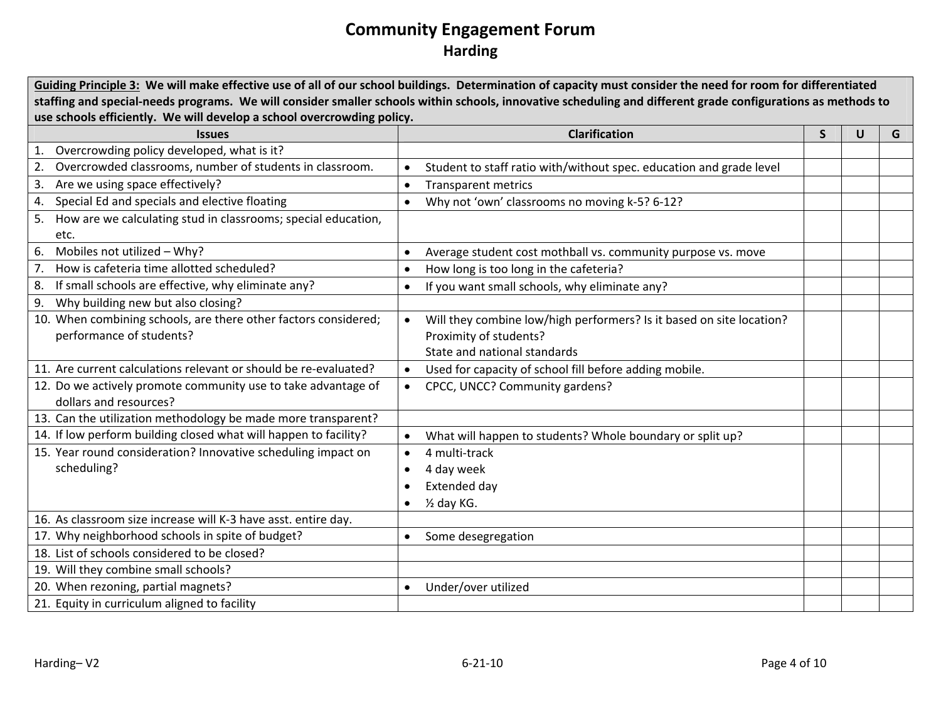|                                                                                                                      | Guiding Principle 3: We will make effective use of all of our school buildings. Determination of capacity must consider the need for room for differentiated |  |   |   |
|----------------------------------------------------------------------------------------------------------------------|--------------------------------------------------------------------------------------------------------------------------------------------------------------|--|---|---|
|                                                                                                                      | staffing and special-needs programs. We will consider smaller schools within schools, innovative scheduling and different grade configurations as methods to |  |   |   |
| use schools efficiently. We will develop a school overcrowding policy.<br><b>Clarification</b><br>S<br><b>Issues</b> |                                                                                                                                                              |  |   |   |
| 1. Overcrowding policy developed, what is it?                                                                        |                                                                                                                                                              |  | U | G |
| 2. Overcrowded classrooms, number of students in classroom.                                                          | Student to staff ratio with/without spec. education and grade level                                                                                          |  |   |   |
| 3. Are we using space effectively?                                                                                   | <b>Transparent metrics</b><br>$\bullet$                                                                                                                      |  |   |   |
| 4. Special Ed and specials and elective floating                                                                     | Why not 'own' classrooms no moving k-5? 6-12?                                                                                                                |  |   |   |
| 5. How are we calculating stud in classrooms; special education,                                                     |                                                                                                                                                              |  |   |   |
| etc.                                                                                                                 |                                                                                                                                                              |  |   |   |
| 6. Mobiles not utilized - Why?                                                                                       | Average student cost mothball vs. community purpose vs. move                                                                                                 |  |   |   |
| 7. How is cafeteria time allotted scheduled?                                                                         | How long is too long in the cafeteria?                                                                                                                       |  |   |   |
| 8. If small schools are effective, why eliminate any?                                                                | If you want small schools, why eliminate any?                                                                                                                |  |   |   |
| 9. Why building new but also closing?                                                                                |                                                                                                                                                              |  |   |   |
| 10. When combining schools, are there other factors considered;                                                      | Will they combine low/high performers? Is it based on site location?<br>$\bullet$                                                                            |  |   |   |
| performance of students?                                                                                             | Proximity of students?                                                                                                                                       |  |   |   |
|                                                                                                                      | State and national standards                                                                                                                                 |  |   |   |
| 11. Are current calculations relevant or should be re-evaluated?                                                     | Used for capacity of school fill before adding mobile.<br>$\bullet$                                                                                          |  |   |   |
| 12. Do we actively promote community use to take advantage of                                                        | CPCC, UNCC? Community gardens?                                                                                                                               |  |   |   |
| dollars and resources?                                                                                               |                                                                                                                                                              |  |   |   |
| 13. Can the utilization methodology be made more transparent?                                                        |                                                                                                                                                              |  |   |   |
| 14. If low perform building closed what will happen to facility?                                                     | What will happen to students? Whole boundary or split up?                                                                                                    |  |   |   |
| 15. Year round consideration? Innovative scheduling impact on                                                        | 4 multi-track                                                                                                                                                |  |   |   |
| scheduling?                                                                                                          | 4 day week                                                                                                                                                   |  |   |   |
|                                                                                                                      | Extended day                                                                                                                                                 |  |   |   |
|                                                                                                                      | 1/2 day KG.                                                                                                                                                  |  |   |   |
| 16. As classroom size increase will K-3 have asst. entire day.                                                       |                                                                                                                                                              |  |   |   |
| 17. Why neighborhood schools in spite of budget?                                                                     | Some desegregation                                                                                                                                           |  |   |   |
| 18. List of schools considered to be closed?                                                                         |                                                                                                                                                              |  |   |   |
| 19. Will they combine small schools?                                                                                 |                                                                                                                                                              |  |   |   |
| 20. When rezoning, partial magnets?                                                                                  | Under/over utilized                                                                                                                                          |  |   |   |
| 21. Equity in curriculum aligned to facility                                                                         |                                                                                                                                                              |  |   |   |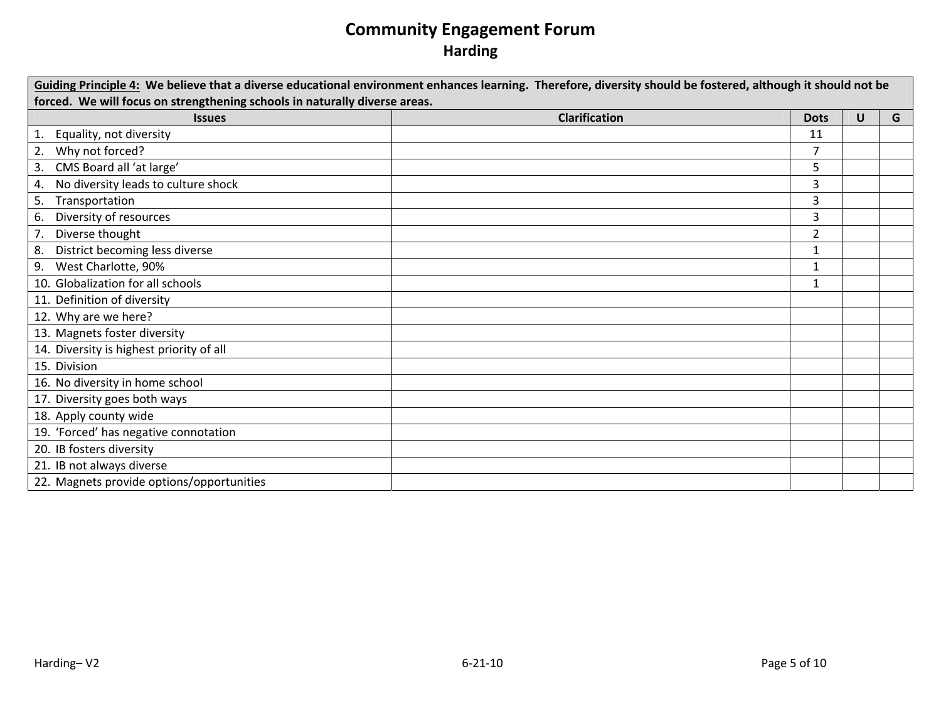| Guiding Principle 4: We believe that a diverse educational environment enhances learning. Therefore, diversity should be fostered, although it should not be<br>forced. We will focus on strengthening schools in naturally diverse areas. |                      |                |   |   |  |  |
|--------------------------------------------------------------------------------------------------------------------------------------------------------------------------------------------------------------------------------------------|----------------------|----------------|---|---|--|--|
| <b>Issues</b>                                                                                                                                                                                                                              | <b>Clarification</b> | <b>Dots</b>    | U | G |  |  |
| Equality, not diversity                                                                                                                                                                                                                    |                      | 11             |   |   |  |  |
| Why not forced?<br>2.                                                                                                                                                                                                                      |                      | $\overline{7}$ |   |   |  |  |
| CMS Board all 'at large'<br>3.                                                                                                                                                                                                             |                      | 5              |   |   |  |  |
| No diversity leads to culture shock<br>4.                                                                                                                                                                                                  |                      | 3              |   |   |  |  |
| Transportation<br>5.                                                                                                                                                                                                                       |                      | 3              |   |   |  |  |
| Diversity of resources<br>6.                                                                                                                                                                                                               |                      | 3              |   |   |  |  |
| Diverse thought                                                                                                                                                                                                                            |                      | $\overline{2}$ |   |   |  |  |
| District becoming less diverse<br>8.                                                                                                                                                                                                       |                      | $\mathbf{1}$   |   |   |  |  |
| West Charlotte, 90%<br>9.                                                                                                                                                                                                                  |                      | $\mathbf{1}$   |   |   |  |  |
| 10. Globalization for all schools                                                                                                                                                                                                          |                      | 1              |   |   |  |  |
| 11. Definition of diversity                                                                                                                                                                                                                |                      |                |   |   |  |  |
| 12. Why are we here?                                                                                                                                                                                                                       |                      |                |   |   |  |  |
| 13. Magnets foster diversity                                                                                                                                                                                                               |                      |                |   |   |  |  |
| 14. Diversity is highest priority of all                                                                                                                                                                                                   |                      |                |   |   |  |  |
| 15. Division                                                                                                                                                                                                                               |                      |                |   |   |  |  |
| 16. No diversity in home school                                                                                                                                                                                                            |                      |                |   |   |  |  |
| 17. Diversity goes both ways                                                                                                                                                                                                               |                      |                |   |   |  |  |
| 18. Apply county wide                                                                                                                                                                                                                      |                      |                |   |   |  |  |
| 19. 'Forced' has negative connotation                                                                                                                                                                                                      |                      |                |   |   |  |  |
| 20. IB fosters diversity                                                                                                                                                                                                                   |                      |                |   |   |  |  |
| 21. IB not always diverse                                                                                                                                                                                                                  |                      |                |   |   |  |  |
| 22. Magnets provide options/opportunities                                                                                                                                                                                                  |                      |                |   |   |  |  |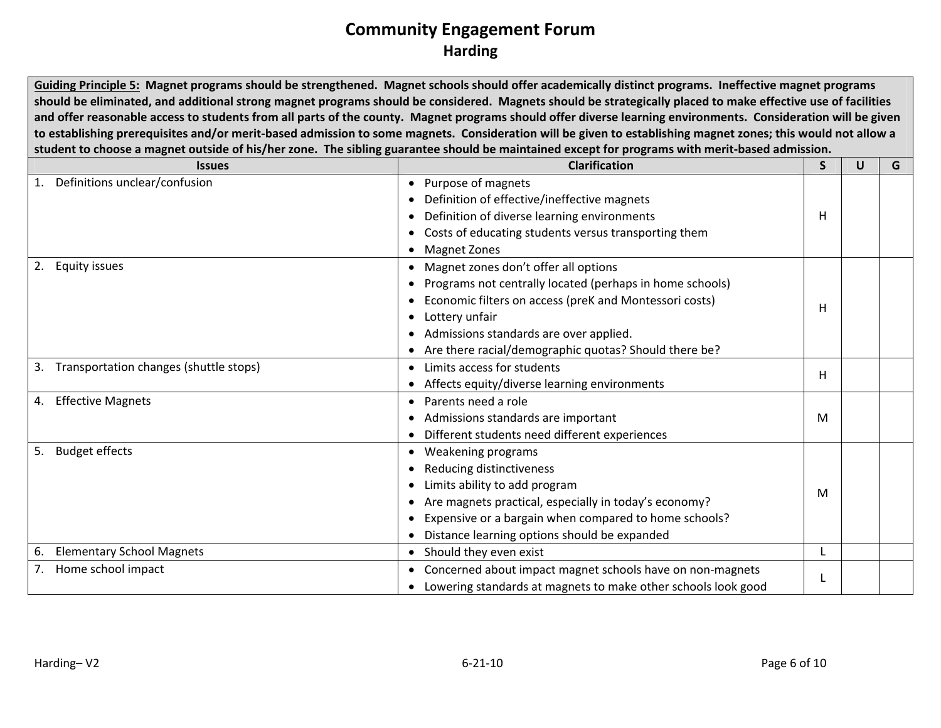Guiding Principle 5: Magnet programs should be strengthened. Magnet schools should offer academically distinct programs. Ineffective magnet programs should be eliminated, and additional strong magnet programs should be considered. Magnets should be strategically placed to make effective use of facilities and offer reasonable access to students from all parts of the county. Magnet programs should offer diverse learning environments. Consideration will be given to establishing prerequisites and/or merit-based admission to some magnets. Consideration will be given to establishing magnet zones; this would not allow a student to choose a magnet outside of his/her zone. The sibling guarantee should be maintained except for programs with merit-based admission.

| <b>Issues</b>                             | <b>Clarification</b>                                          | S | U | G |
|-------------------------------------------|---------------------------------------------------------------|---|---|---|
| Definitions unclear/confusion<br>1.       | Purpose of magnets                                            |   |   |   |
|                                           | Definition of effective/ineffective magnets                   |   |   |   |
|                                           | Definition of diverse learning environments                   | н |   |   |
|                                           | Costs of educating students versus transporting them          |   |   |   |
|                                           | <b>Magnet Zones</b>                                           |   |   |   |
| 2.<br><b>Equity issues</b>                | Magnet zones don't offer all options                          |   |   |   |
|                                           | Programs not centrally located (perhaps in home schools)      |   |   |   |
|                                           | Economic filters on access (preK and Montessori costs)        | H |   |   |
|                                           | Lottery unfair                                                |   |   |   |
|                                           | Admissions standards are over applied.                        |   |   |   |
|                                           | Are there racial/demographic quotas? Should there be?         |   |   |   |
| 3. Transportation changes (shuttle stops) | Limits access for students                                    |   |   |   |
|                                           | Affects equity/diverse learning environments                  | н |   |   |
| <b>Effective Magnets</b><br>4.            | Parents need a role                                           |   |   |   |
|                                           | Admissions standards are important                            | M |   |   |
|                                           | Different students need different experiences                 |   |   |   |
| <b>Budget effects</b><br>5.               | Weakening programs                                            |   |   |   |
|                                           | Reducing distinctiveness                                      |   |   |   |
|                                           | Limits ability to add program                                 | M |   |   |
|                                           | Are magnets practical, especially in today's economy?         |   |   |   |
|                                           | Expensive or a bargain when compared to home schools?         |   |   |   |
|                                           | Distance learning options should be expanded                  |   |   |   |
| <b>Elementary School Magnets</b><br>6.    | • Should they even exist                                      |   |   |   |
| Home school impact<br>7.                  | Concerned about impact magnet schools have on non-magnets     |   |   |   |
|                                           | Lowering standards at magnets to make other schools look good |   |   |   |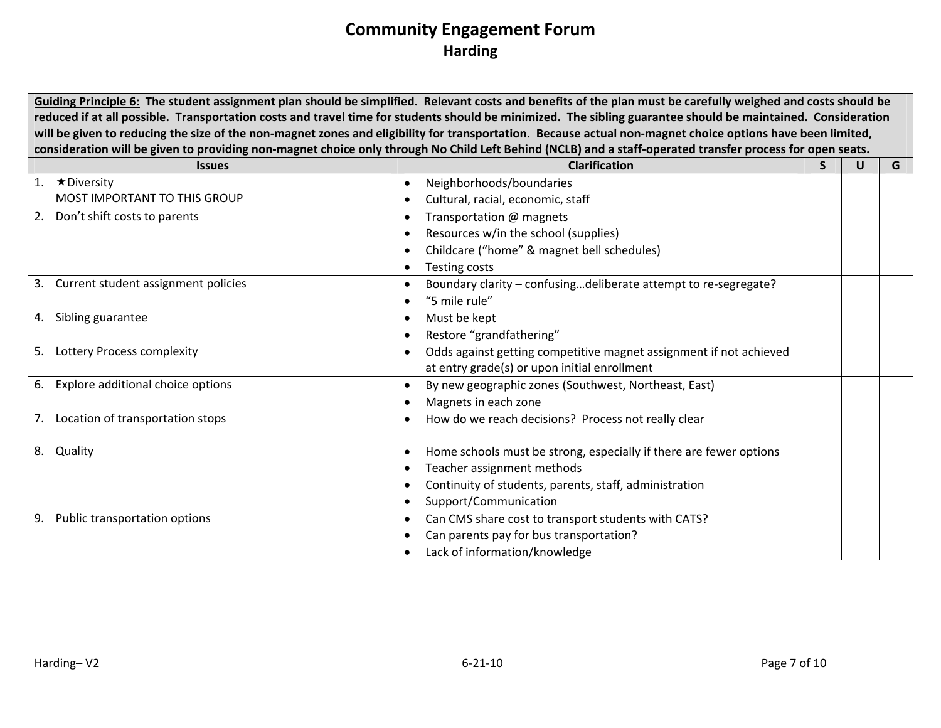Guiding Principle 6: The student assignment plan should be simplified. Relevant costs and benefits of the plan must be carefully weighed and costs should be reduced if at all possible. Transportation costs and travel time for students should be minimized. The sibling guarantee should be maintained. Consideration will be given to reducing the size of the non-magnet zones and eligibility for transportation. Because actual non-magnet choice options have been limited, consideration will be given to providing non-magnet choice only through No Child Left Behind (NCLB) and a staff-operated transfer process for open seats.

| <b>Issues</b>                             | <b>Clarification</b>                                               | S | U | G |
|-------------------------------------------|--------------------------------------------------------------------|---|---|---|
| $\star$ Diversity                         | Neighborhoods/boundaries                                           |   |   |   |
| <b>MOST IMPORTANT TO THIS GROUP</b>       | Cultural, racial, economic, staff                                  |   |   |   |
| Don't shift costs to parents<br>2.        | Transportation @ magnets                                           |   |   |   |
|                                           | Resources w/in the school (supplies)                               |   |   |   |
|                                           | Childcare ("home" & magnet bell schedules)                         |   |   |   |
|                                           | Testing costs                                                      |   |   |   |
| Current student assignment policies<br>3. | Boundary clarity - confusingdeliberate attempt to re-segregate?    |   |   |   |
|                                           | "5 mile rule"                                                      |   |   |   |
| Sibling guarantee<br>4.                   | Must be kept                                                       |   |   |   |
|                                           | Restore "grandfathering"                                           |   |   |   |
| Lottery Process complexity<br>5.          | Odds against getting competitive magnet assignment if not achieved |   |   |   |
|                                           | at entry grade(s) or upon initial enrollment                       |   |   |   |
| Explore additional choice options<br>6.   | By new geographic zones (Southwest, Northeast, East)               |   |   |   |
|                                           | Magnets in each zone                                               |   |   |   |
| Location of transportation stops<br>7.    | How do we reach decisions? Process not really clear                |   |   |   |
|                                           |                                                                    |   |   |   |
| Quality<br>8.                             | Home schools must be strong, especially if there are fewer options |   |   |   |
|                                           | Teacher assignment methods                                         |   |   |   |
|                                           | Continuity of students, parents, staff, administration             |   |   |   |
|                                           | Support/Communication                                              |   |   |   |
| Public transportation options<br>9.       | Can CMS share cost to transport students with CATS?                |   |   |   |
|                                           | Can parents pay for bus transportation?                            |   |   |   |
|                                           | Lack of information/knowledge                                      |   |   |   |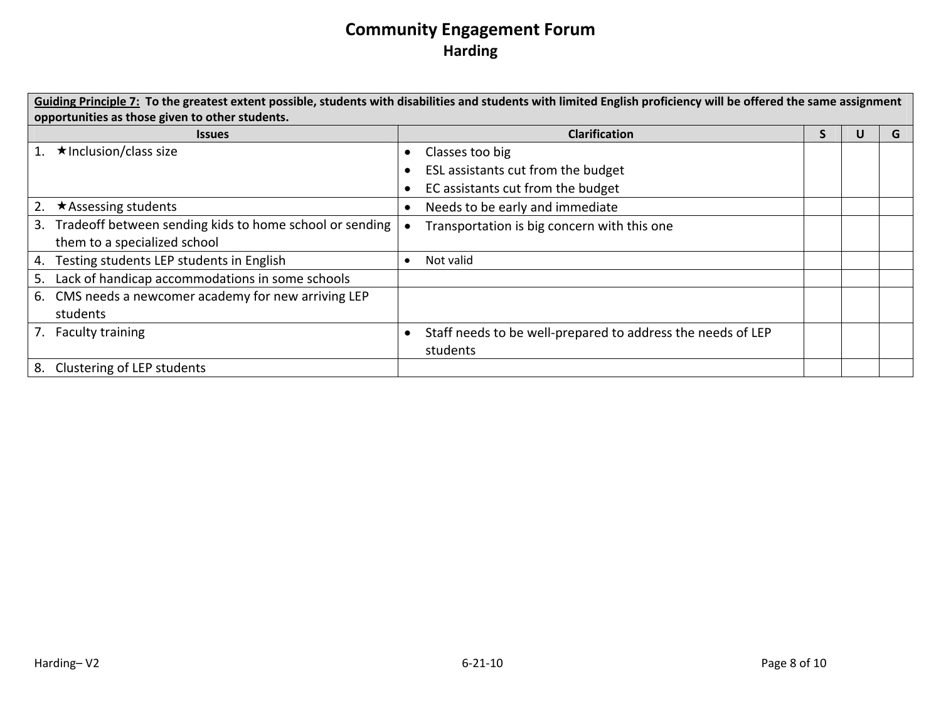|    | Guiding Principle 7: To the greatest extent possible, students with disabilities and students with limited English proficiency will be offered the same assignment |           |                                                             |   |  |   |
|----|--------------------------------------------------------------------------------------------------------------------------------------------------------------------|-----------|-------------------------------------------------------------|---|--|---|
|    | opportunities as those given to other students.                                                                                                                    |           |                                                             |   |  |   |
|    | <b>Issues</b>                                                                                                                                                      |           | <b>Clarification</b>                                        | S |  | G |
| 1. | $\star$ Inclusion/class size                                                                                                                                       | $\bullet$ | Classes too big                                             |   |  |   |
|    |                                                                                                                                                                    |           | ESL assistants cut from the budget                          |   |  |   |
|    |                                                                                                                                                                    |           | EC assistants cut from the budget                           |   |  |   |
| 2. | $\star$ Assessing students                                                                                                                                         |           | Needs to be early and immediate                             |   |  |   |
|    | 3. Tradeoff between sending kids to home school or sending                                                                                                         |           | Transportation is big concern with this one                 |   |  |   |
|    | them to a specialized school                                                                                                                                       |           |                                                             |   |  |   |
|    | 4. Testing students LEP students in English                                                                                                                        |           | Not valid                                                   |   |  |   |
| 5. | Lack of handicap accommodations in some schools                                                                                                                    |           |                                                             |   |  |   |
|    | 6. CMS needs a newcomer academy for new arriving LEP                                                                                                               |           |                                                             |   |  |   |
|    | students                                                                                                                                                           |           |                                                             |   |  |   |
|    | 7. Faculty training                                                                                                                                                |           | Staff needs to be well-prepared to address the needs of LEP |   |  |   |
|    |                                                                                                                                                                    |           | students                                                    |   |  |   |
|    | 8. Clustering of LEP students                                                                                                                                      |           |                                                             |   |  |   |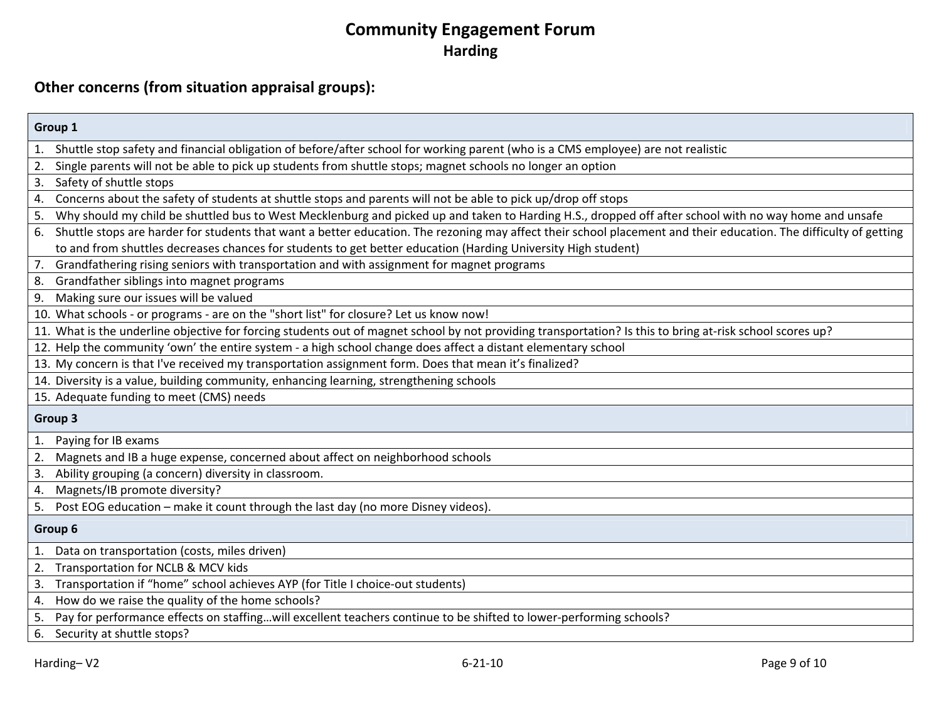#### **Other concerns (from situation appraisal groups):**

| Group 1                                                                                                                                                                 |
|-------------------------------------------------------------------------------------------------------------------------------------------------------------------------|
| 1. Shuttle stop safety and financial obligation of before/after school for working parent (who is a CMS employee) are not realistic                                     |
| Single parents will not be able to pick up students from shuttle stops; magnet schools no longer an option<br>2.                                                        |
| Safety of shuttle stops<br>3.                                                                                                                                           |
| Concerns about the safety of students at shuttle stops and parents will not be able to pick up/drop off stops<br>4.                                                     |
| Why should my child be shuttled bus to West Mecklenburg and picked up and taken to Harding H.S., dropped off after school with no way home and unsafe<br>5.             |
| Shuttle stops are harder for students that want a better education. The rezoning may affect their school placement and their education. The difficulty of getting<br>6. |
| to and from shuttles decreases chances for students to get better education (Harding University High student)                                                           |
| 7.<br>Grandfathering rising seniors with transportation and with assignment for magnet programs                                                                         |
| Grandfather siblings into magnet programs<br>8.                                                                                                                         |
| Making sure our issues will be valued<br>9.                                                                                                                             |
| 10. What schools - or programs - are on the "short list" for closure? Let us know now!                                                                                  |
| 11. What is the underline objective for forcing students out of magnet school by not providing transportation? Is this to bring at-risk school scores up?               |
| 12. Help the community 'own' the entire system - a high school change does affect a distant elementary school                                                           |
| 13. My concern is that I've received my transportation assignment form. Does that mean it's finalized?                                                                  |
| 14. Diversity is a value, building community, enhancing learning, strengthening schools                                                                                 |
| 15. Adequate funding to meet (CMS) needs                                                                                                                                |
| Group 3                                                                                                                                                                 |
| 1.<br>Paying for IB exams                                                                                                                                               |
| 2.<br>Magnets and IB a huge expense, concerned about affect on neighborhood schools                                                                                     |
| Ability grouping (a concern) diversity in classroom.<br>3.                                                                                                              |
| Magnets/IB promote diversity?<br>4.                                                                                                                                     |
| 5. Post EOG education - make it count through the last day (no more Disney videos).                                                                                     |
| Group 6                                                                                                                                                                 |
| $\mathbf{1}$ .<br>Data on transportation (costs, miles driven)                                                                                                          |
| 2. Transportation for NCLB & MCV kids                                                                                                                                   |
| 3. Transportation if "home" school achieves AYP (for Title I choice-out students)                                                                                       |
| How do we raise the quality of the home schools?<br>4.                                                                                                                  |
| Pay for performance effects on staffingwill excellent teachers continue to be shifted to lower-performing schools?<br>5.                                                |
| 6. Security at shuttle stops?                                                                                                                                           |